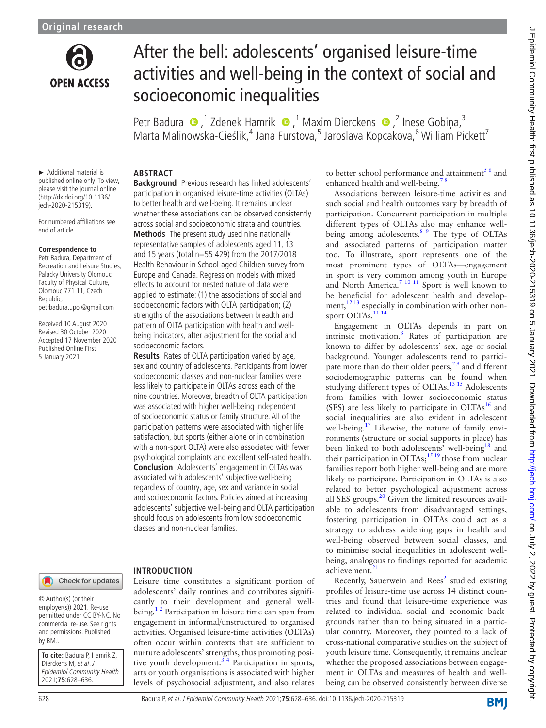

# After the bell: adolescents' organised leisure-time activities and well-being in the context of social and socioeconomic inequalities

Petr Badura (D, <sup>1</sup> Zdenek Hamrik (D, <sup>1</sup> Maxim Dierckens (D, <sup>2</sup> Inese Gobiņa, <sup>3</sup> Marta Malinowska-Cieślik,<sup>4</sup> Jana Furstova,<sup>5</sup> Jaroslava Kopcakova,<sup>6</sup> William Pickett<sup>7</sup>

► Additional material is published online only. To view, please visit the journal online (http://dx.doi.org/10.1136/ jech-2020-215319).

For numbered affiliations see end of article.

#### **Correspondence to**

Petr Badura, Department of Recreation and Leisure Studies, Palacky University Olomouc Faculty of Physical Culture, Olomouc 771 11, Czech Republic; petrbadura.upol@gmail.com

Received 10 August 2020 Revised 30 October 2020 Accepted 17 November 2020 Published Online First 5 January 2021

## **ABSTRACT**

**Background** Previous research has linked adolescents' participation in organised leisure-time activities (OLTAs) to better health and well-being. It remains unclear whether these associations can be observed consistently across social and socioeconomic strata and countries.

**Methods** The present study used nine nationally representative samples of adolescents aged 11, 13 and 15 years (total n=55 429) from the 2017/2018 Health Behaviour in School-aged Children survey from Europe and Canada. Regression models with mixed effects to account for nested nature of data were applied to estimate: (1) the associations of social and socioeconomic factors with OLTA participation; (2) strengths of the associations between breadth and pattern of OLTA participation with health and wellbeing indicators, after adjustment for the social and socioeconomic factors.

**Results** Rates of OLTA participation varied by age, sex and country of adolescents. Participants from lower socioeconomic classes and non-nuclear families were less likely to participate in OLTAs across each of the nine countries. Moreover, breadth of OLTA participation was associated with higher well-being independent of socioeconomic status or family structure. All of the participation patterns were associated with higher life satisfaction, but sports (either alone or in combination with a non-sport OLTA) were also associated with fewer psychological complaints and excellent self-rated health. **Conclusion** Adolescents' engagement in OLTAs was associated with adolescents' subjective well-being regardless of country, age, sex and variance in social and socioeconomic factors. Policies aimed at increasing adolescents' subjective well-being and OLTA participation should focus on adolescents from low socioeconomic classes and non-nuclear families.

Check for updates

## **INTRODUCTION**

© Author(s) (or their employer(s)) 2021. Re-use permitted under CC BY-NC. No commercial re-use. See rights and permissions. Published by BMJ.

**To cite:** Badura P, Hamrik Z, Dierckens M, et al. J Epidemiol Community Health 2021;**75**:628–636.

Leisure time constitutes a significant portion of adolescents' daily routines and contributes significantly to their development and general wellbeing.<sup>12</sup> Participation in leisure time can span from engagement in informal/unstructured to organised activities. Organised leisure-time activities (OLTAs) often occur within contexts that are sufficient to nurture adolescents' strengths, thus promoting positive youth development.<sup>34</sup> Participation in sports, arts or youth organisations is associated with higher levels of psychosocial adjustment, and also relates to better school performance and attainment $5<sup>6</sup>$  and enhanced health and well-being.<sup>7</sup>

Associations between leisure-time activities and such social and health outcomes vary by breadth of participation. Concurrent participation in multiple different types of OLTAs also may enhance well-being among adolescents.<sup>[8 9](#page-8-4)</sup> The type of OLTAs and associated patterns of participation matter too. To illustrate, sport represents one of the most prominent types of OLTAs—engagement in sport is very common among youth in Europe and North America.<sup>[7 10 11](#page-8-3)</sup> Sport is well known to be beneficial for adolescent health and development, $1213$  especially in combination with other non-sport OLTAs.<sup>[11 14](#page-8-6)</sup>

Engagement in OLTAs depends in part on intrinsic motivation.<sup>[3](#page-8-1)</sup> Rates of participation are known to differ by adolescents' sex, age or social background. Younger adolescents tend to participate more than do their older peers, $79$  and different sociodemographic patterns can be found when studying different types of OLTAs.<sup>[13 15](#page-8-7)</sup> Adolescents from families with lower socioeconomic status (SES) are less likely to participate in  $OLTAs<sup>16</sup>$  and social inequalities are also evident in adolescent well-being.<sup>17</sup> Likewise, the nature of family environments (structure or social supports in place) has been linked to both adolescents' well-being<sup>[18](#page-8-10)</sup> and their participation in OLTAs;  $1519$  those from nuclear families report both higher well-being and are more likely to participate. Participation in OLTAs is also related to better psychological adjustment across all SES groups. $20$  Given the limited resources available to adolescents from disadvantaged settings, fostering participation in OLTAs could act as a strategy to address widening gaps in health and well-being observed between social classes, and to minimise social inequalities in adolescent wellbeing, analogous to findings reported for academic achievement.<sup>[21](#page-8-13)</sup>

Recently, Sauerwein and Rees<sup>[2](#page-8-14)</sup> studied existing profiles of leisure-time use across 14 distinct countries and found that leisure-time experience was related to individual social and economic backgrounds rather than to being situated in a particular country. Moreover, they pointed to a lack of cross-national comparative studies on the subject of youth leisure time. Consequently, it remains unclear whether the proposed associations between engagement in OLTAs and measures of health and wellbeing can be observed consistently between diverse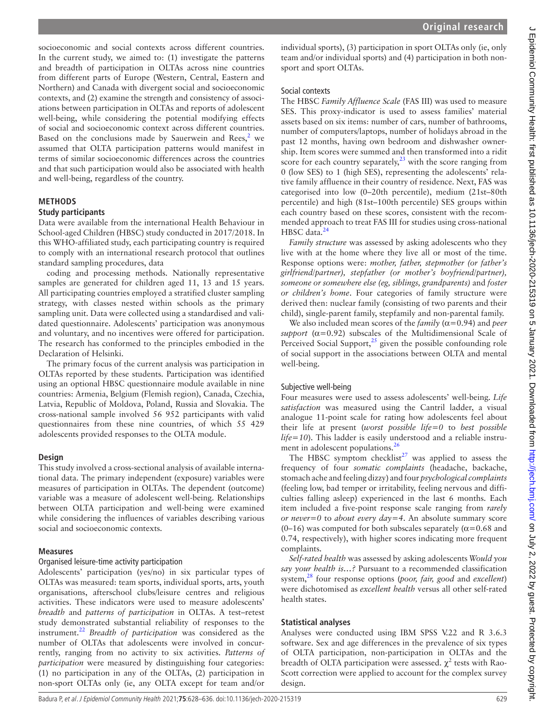socioeconomic and social contexts across different countries. In the current study, we aimed to: (1) investigate the patterns and breadth of participation in OLTAs across nine countries from different parts of Europe (Western, Central, Eastern and Northern) and Canada with divergent social and socioeconomic contexts, and (2) examine the strength and consistency of associations between participation in OLTAs and reports of adolescent well-being, while considering the potential modifying effects of social and socioeconomic context across different countries. Based on the conclusions made by Sauerwein and Rees, $2$  we assumed that OLTA participation patterns would manifest in terms of similar socioeconomic differences across the countries and that such participation would also be associated with health and well-being, regardless of the country.

# **METHODS**

## **Study participants**

Data were available from the international Health Behaviour in School-aged Children (HBSC) study conducted in 2017/2018. In this WHO-affiliated study, each participating country is required to comply with an international research protocol that outlines standard sampling procedures, data

coding and processing methods. Nationally representative samples are generated for children aged 11, 13 and 15 years. All participating countries employed a stratified cluster sampling strategy, with classes nested within schools as the primary sampling unit. Data were collected using a standardised and validated questionnaire. Adolescents' participation was anonymous and voluntary, and no incentives were offered for participation. The research has conformed to the principles embodied in the Declaration of Helsinki.

The primary focus of the current analysis was participation in OLTAs reported by these students. Participation was identified using an optional HBSC questionnaire module available in nine countries: Armenia, Belgium (Flemish region), Canada, Czechia, Latvia, Republic of Moldova, Poland, Russia and Slovakia. The cross-national sample involved 56 952 participants with valid questionnaires from these nine countries, of which 55 429 adolescents provided responses to the OLTA module.

## **Design**

This study involved a cross-sectional analysis of available international data. The primary independent (exposure) variables were measures of participation in OLTAs. The dependent (outcome) variable was a measure of adolescent well-being. Relationships between OLTA participation and well-being were examined while considering the influences of variables describing various social and socioeconomic contexts.

#### **Measures**

## Organised leisure-time activity participation

Adolescents' participation (yes/no) in six particular types of OLTAs was measured: team sports, individual sports, arts, youth organisations, afterschool clubs/leisure centres and religious activities. These indicators were used to measure adolescents' *breadth* and *patterns of participation* in OLTAs. A test–retest study demonstrated substantial reliability of responses to the instrument.[22](#page-8-15) *Breadth of participation* was considered as the number of OLTAs that adolescents were involved in concurrently, ranging from no activity to six activities. *Patterns of participation* were measured by distinguishing four categories: (1) no participation in any of the OLTAs, (2) participation in non-sport OLTAs only (ie, any OLTA except for team and/or

individual sports), (3) participation in sport OLTAs only (ie, only team and/or individual sports) and (4) participation in both nonsport and sport OLTAs.

#### Social contexts

The HBSC *Family Affluence Scale* (FAS III) was used to measure SES. This proxy-indicator is used to assess families' material assets based on six items: number of cars, number of bathrooms, number of computers/laptops, number of holidays abroad in the past 12 months, having own bedroom and dishwasher ownership. Item scores were summed and then transformed into a ridit score for each country separately, $^{23}$  with the score ranging from 0 (low SES) to 1 (high SES), representing the adolescents' relative family affluence in their country of residence. Next, FAS was categorised into low (0–20th percentile), medium (21st–80th percentile) and high (81st–100th percentile) SES groups within each country based on these scores, consistent with the recommended approach to treat FAS III for studies using cross-national HBSC data.<sup>24</sup>

*Family structure* was assessed by asking adolescents who they live with at the home where they live all or most of the time. Response options were: *mother, father, stepmother (or father's girlfriend/partner), stepfather (or mother's boyfriend/partner), someone or somewhere else (eg, siblings, grandparents)* and *foster or children's home*. Four categories of family structure were derived then: nuclear family (consisting of two parents and their child), single-parent family, stepfamily and non-parental family.

We also included mean scores of the  $family (α=0.94)$  and *peer support* ( $\alpha$ =0.92) subscales of the Multidimensional Scale of Perceived Social Support, $^{25}$  given the possible confounding role of social support in the associations between OLTA and mental well-being.

## Subjective well-being

Four measures were used to assess adolescents' well-being. *Life satisfaction* was measured using the Cantril ladder, a visual analogue 11-point scale for rating how adolescents feel about their life at present (*worst possible life=0* to *best possible life=10*). This ladder is easily understood and a reliable instru-ment in adolescent populations.<sup>[26](#page-8-19)</sup>

The HBSC symptom checklist<sup>27</sup> was applied to assess the frequency of four *somatic complaints* (headache, backache, stomach ache and feeling dizzy) and four *psychological complaints* (feeling low, bad temper or irritability, feeling nervous and difficulties falling asleep) experienced in the last 6 months. Each item included a five-point response scale ranging from *rarely or never=0* to *about every day=4*. An absolute summary score (0–16) was computed for both subscales separately ( $\alpha$ =0.68 and 0.74, respectively), with higher scores indicating more frequent complaints.

*Self-rated health* was assessed by asking adolescents *Would you say your health is…?* Pursuant to a recommended classification system,[28](#page-8-21) four response options (*poor, fair, good* and *excellent*) were dichotomised as *excellent health* versus all other self-rated health states.

## **Statistical analyses**

Analyses were conducted using IBM SPSS V.22 and R 3.6.3 software. Sex and age differences in the prevalence of six types of OLTA participation, non-participation in OLTAs and the breadth of OLTA participation were assessed.  $\chi^2$  tests with Rao-Scott correction were applied to account for the complex survey design.

J Epidemiol Community Health: first published as 10.1136/jech-2020-215319 on 5 January 2021. Downloaded from <http://jech.bmj.com/> on July 2, 2022 by guest. Protected by copyright.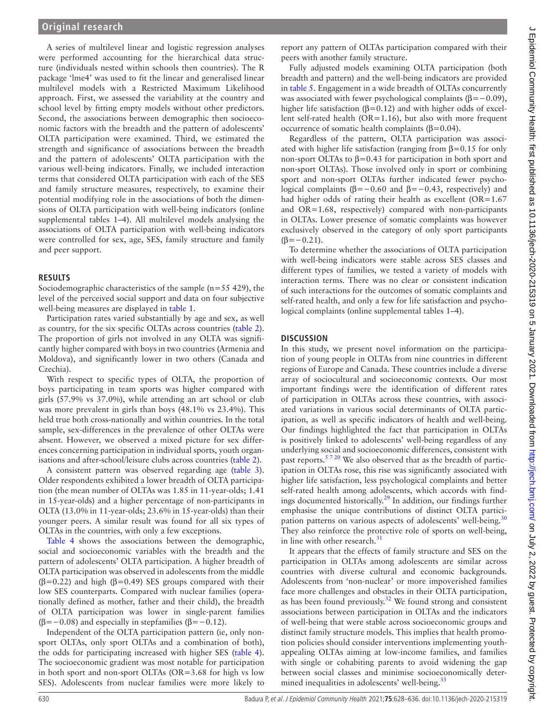A series of multilevel linear and logistic regression analyses were performed accounting for the hierarchical data structure (individuals nested within schools then countries). The R package 'lme4' was used to fit the linear and generalised linear multilevel models with a Restricted Maximum Likelihood approach. First, we assessed the variability at the country and school level by fitting empty models without other predictors. Second, the associations between demographic then socioeconomic factors with the breadth and the pattern of adolescents' OLTA participation were examined. Third, we estimated the strength and significance of associations between the breadth and the pattern of adolescents' OLTA participation with the various well-being indicators. Finally, we included interaction terms that considered OLTA participation with each of the SES and family structure measures, respectively, to examine their potential modifying role in the associations of both the dimensions of OLTA participation with well-being indicators [\(online](https://dx.doi.org/10.1136/jech-2020-215319) [supplemental tables 1–4](https://dx.doi.org/10.1136/jech-2020-215319)). All multilevel models analysing the associations of OLTA participation with well-being indicators were controlled for sex, age, SES, family structure and family and peer support.

## **RESULTS**

Sociodemographic characteristics of the sample  $(n=55 429)$ , the level of the perceived social support and data on four subjective well-being measures are displayed in [table](#page-3-0) 1.

Participation rates varied substantially by age and sex, as well as country, for the six specific OLTAs across countries ([table](#page-4-0) 2). The proportion of girls not involved in any OLTA was significantly higher compared with boys in two countries (Armenia and Moldova), and significantly lower in two others (Canada and Czechia).

With respect to specific types of OLTA, the proportion of boys participating in team sports was higher compared with girls (57.9% vs 37.0%), while attending an art school or club was more prevalent in girls than boys  $(48.1\% \text{ vs } 23.4\%).$  This held true both cross-nationally and within countries. In the total sample, sex-differences in the prevalence of other OLTAs were absent. However, we observed a mixed picture for sex differences concerning participation in individual sports, youth organisations and after-school/leisure clubs across countries [\(table](#page-4-0) 2).

A consistent pattern was observed regarding age [\(table](#page-5-0) 3). Older respondents exhibited a lower breadth of OLTA participation (the mean number of OLTAs was 1.85 in 11-year-olds; 1.41 in 15-year-olds) and a higher percentage of non-participants in OLTA (13.0% in 11-year-olds; 23.6% in 15-year-olds) than their younger peers. A similar result was found for all six types of OLTAs in the countries, with only a few exceptions.

[Table](#page-6-0) 4 shows the associations between the demographic, social and socioeconomic variables with the breadth and the pattern of adolescents' OLTA participation. A higher breadth of OLTA participation was observed in adolescents from the middle ( $\beta$ =0.22) and high ( $\beta$ =0.49) SES groups compared with their low SES counterparts. Compared with nuclear families (operationally defined as mother, father and their child), the breadth of OLTA participation was lower in single-parent families ( $\beta$ =−0.08) and especially in stepfamilies ( $\beta$ =−0.12).

Independent of the OLTA participation pattern (ie, only nonsport OLTAs, only sport OLTAs and a combination of both), the odds for participating increased with higher SES ([table](#page-6-0) 4). The socioeconomic gradient was most notable for participation in both sport and non-sport OLTAs (OR=3.68 for high vs low SES). Adolescents from nuclear families were more likely to

report any pattern of OLTAs participation compared with their peers with another family structure.

Fully adjusted models examining OLTA participation (both breadth and pattern) and the well-being indicators are provided in [table](#page-6-1) 5. Engagement in a wide breadth of OLTAs concurrently was associated with fewer psychological complaints ( $\beta$ = −0.09), higher life satisfaction ( $β=0.12$ ) and with higher odds of excellent self-rated health (OR=1.16), but also with more frequent occurrence of somatic health complaints  $(β=0.04)$ .

Regardless of the pattern, OLTA participation was associated with higher life satisfaction (ranging from  $\beta$ =0.15 for only non-sport OLTAs to  $\beta$ =0.43 for participation in both sport and non-sport OLTAs). Those involved only in sport or combining sport and non-sport OLTAs further indicated fewer psychological complaints ( $\beta$ =−0.60 and  $\beta$ =−0.43, respectively) and had higher odds of rating their health as excellent  $(OR=1.67)$ and OR=1.68, respectively) compared with non-participants in OLTAs. Lower presence of somatic complaints was however exclusively observed in the category of only sport participants  $(\beta=-0.21)$ .

To determine whether the associations of OLTA participation with well-being indicators were stable across SES classes and different types of families, we tested a variety of models with interaction terms. There was no clear or consistent indication of such interactions for the outcomes of somatic complaints and self-rated health, and only a few for life satisfaction and psychological complaints ([online supplemental tables 1–4](https://dx.doi.org/10.1136/jech-2020-215319)).

## **DISCUSSION**

In this study, we present novel information on the participation of young people in OLTAs from nine countries in different regions of Europe and Canada. These countries include a diverse array of sociocultural and socioeconomic contexts. Our most important findings were the identification of different rates of participation in OLTAs across these countries, with associated variations in various social determinants of OLTA participation, as well as specific indicators of health and well-being. Our findings highlighted the fact that participation in OLTAs is positively linked to adolescents' well-being regardless of any underlying social and socioeconomic differences, consistent with past reports.<sup>5720</sup> We also observed that as the breadth of participation in OLTAs rose, this rise was significantly associated with higher life satisfaction, less psychological complaints and better self-rated health among adolescents, which accords with findings documented historically.<sup>29</sup> In addition, our findings further emphasise the unique contributions of distinct OLTA partici-pation patterns on various aspects of adolescents' well-being.<sup>[30](#page-8-23)</sup> They also reinforce the protective role of sports on well-being, in line with other research.<sup>[31](#page-8-24)</sup>

It appears that the effects of family structure and SES on the participation in OLTAs among adolescents are similar across countries with diverse cultural and economic backgrounds. Adolescents from 'non-nuclear' or more impoverished families face more challenges and obstacles in their OLTA participation, as has been found previously. $32$  We found strong and consistent associations between participation in OLTAs and the indicators of well-being that were stable across socioeconomic groups and distinct family structure models. This implies that health promotion policies should consider interventions implementing youthappealing OLTAs aiming at low-income families, and families with single or cohabiting parents to avoid widening the gap between social classes and minimise socioeconomically determined inequalities in adolescents' well-being.<sup>33</sup>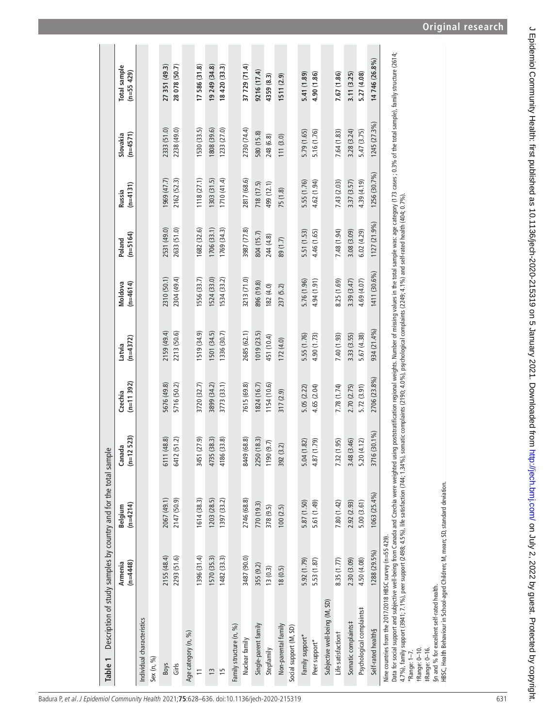| Table 1                                                                                                                                                                                                                                                                                                                                                                                                                                                                                                |                       | Description of study samples by country and for the total sample |                        |                        |                      |                       |                      |                      |                        |                            |
|--------------------------------------------------------------------------------------------------------------------------------------------------------------------------------------------------------------------------------------------------------------------------------------------------------------------------------------------------------------------------------------------------------------------------------------------------------------------------------------------------------|-----------------------|------------------------------------------------------------------|------------------------|------------------------|----------------------|-----------------------|----------------------|----------------------|------------------------|----------------------------|
|                                                                                                                                                                                                                                                                                                                                                                                                                                                                                                        | $(n=4448)$<br>Armenia | $(n=4214)$<br>Belgium                                            | $(n=12 523)$<br>Canada | $(n=11392)$<br>Czechia | $(n=4372)$<br>Latvia | $(n=4614)$<br>Moldova | $(n=5164)$<br>Poland | $(n=4131)$<br>Russia | $(n=4571)$<br>Slovakia | Total sample<br>(n=55 429) |
| Individual characteristics                                                                                                                                                                                                                                                                                                                                                                                                                                                                             |                       |                                                                  |                        |                        |                      |                       |                      |                      |                        |                            |
| Sex (n, %)                                                                                                                                                                                                                                                                                                                                                                                                                                                                                             |                       |                                                                  |                        |                        |                      |                       |                      |                      |                        |                            |
| <b>Boys</b>                                                                                                                                                                                                                                                                                                                                                                                                                                                                                            | 2155 (48.4)           | 2067 (49.1)                                                      | 6111 (48.8)            | 5676 (49.8)            | 2159 (49.4)          | 2310 (50.1)           | 2531 (49.0)          | 1969(47.7)           | 2333 (51.0)            | 27 351 (49.3)              |
| Girls                                                                                                                                                                                                                                                                                                                                                                                                                                                                                                  | 2293 (51.6)           | 2147 (50.9)                                                      | 6412 (51.2)            | 5716 (50.2)            | 2213 (50.6)          | 2304 (49.4)           | 2633 (51.0)          | 2162 (52.3)          | 2238 (49.0)            | 28 078 (50.7)              |
| Age category (n, %)                                                                                                                                                                                                                                                                                                                                                                                                                                                                                    |                       |                                                                  |                        |                        |                      |                       |                      |                      |                        |                            |
| $\tilde{=}$                                                                                                                                                                                                                                                                                                                                                                                                                                                                                            | 1396 (31.4)           | 1614 (38.3)                                                      | 3451 (27.9)            | 3720 (32.7)            | 1519 (34.9)          | 1556(33.7)            | 1682 (32.6)          | 1118 (27.1)          | 1530 (33.5)            | 17586 (31.8)               |
| $\frac{3}{2}$                                                                                                                                                                                                                                                                                                                                                                                                                                                                                          | 1570 (35.3)           | 1203(28.5)                                                       | 4735 (38.3)            | 3899 (34.2)            | 1501 (34.5)          | 1524 (33.0)           | 1706 (33.1)          | 1303 (31.5)          | (962,808               | 19 249 (34.8)              |
| 15                                                                                                                                                                                                                                                                                                                                                                                                                                                                                                     | 1482(33.3)            | 1397 (33.2)                                                      | 4186 (33.8)            | 3773 (33.1)            | 1336 (30.7)          | 1534 (33.2)           | 1769 (34.3)          | 1710(41.4)           | 1233 (27.0)            | 18420(33.3)                |
| Family structure (n, %)                                                                                                                                                                                                                                                                                                                                                                                                                                                                                |                       |                                                                  |                        |                        |                      |                       |                      |                      |                        |                            |
| Nuclear family                                                                                                                                                                                                                                                                                                                                                                                                                                                                                         | 3487 (90.0)           | 2746 (68.8)                                                      | 8449 (68.8)            | 7615 (69.8)            | 2685 (62.1)          | 3213 (71.0)           | 3987 (77.8)          | 2817 (68.6)          | 2730 (74.4)            | 37 729 (71.4)              |
| Single-parent family                                                                                                                                                                                                                                                                                                                                                                                                                                                                                   | 355 (9.2)             | 770 (19.3)                                                       | 2250 (18.3)            | 1824 (16.7)            | 1019 (23.5)          | 896 (19.8)            | 804 (15.7)           | 718 (17.5)           | 580 (15.8)             | 9216 (17.4)                |
| Stepfamily                                                                                                                                                                                                                                                                                                                                                                                                                                                                                             | 13(0.3)               | 378 (9.5)                                                        | 1190(9.7)              | 1154 (10.6)            | 451 (10.4)           | 182 (4.0)             | 244 (4.8)            | 499 (12.1)           | 248 (6.8)              | 4359 (8.3)                 |
| Non-parental family                                                                                                                                                                                                                                                                                                                                                                                                                                                                                    | 18(0.5)               | 100(2.5)                                                         | 392 (3.2)              | 317 (2.9)              | 172(4.0)             | 237 (5.2)             | 89 (1.7)             | 75 (1.8)             | 111(3.0)               | 1511(2.9)                  |
| Social support (M, SD)                                                                                                                                                                                                                                                                                                                                                                                                                                                                                 |                       |                                                                  |                        |                        |                      |                       |                      |                      |                        |                            |
| Family support*                                                                                                                                                                                                                                                                                                                                                                                                                                                                                        | 5.92 (1.79)           | 5.87 (1.50)                                                      | 5.04(1.82)             | 5.05 (2.22)            | 5.55 (1.76)          | 5.76 (1.96)           | 5.51 (1.53)          | 5.55 (1.76)          | 5.79 (1.65)            | 5.41 (1.89)                |
| Peer support*                                                                                                                                                                                                                                                                                                                                                                                                                                                                                          | 5.53 (1.87)           | 5.61 (1.49)                                                      | 4.87 (1.79)            | 4.65 (2.04)            | 4.90 (1.73)          | 4.94 (1.91)           | 4.46 (1.65)          | 4.62 (1.94)          | 5.16 (1.76)            | 4.90 (1.86)                |
| Subjective well-being (M, SD)                                                                                                                                                                                                                                                                                                                                                                                                                                                                          |                       |                                                                  |                        |                        |                      |                       |                      |                      |                        |                            |
| Life satisfactiont                                                                                                                                                                                                                                                                                                                                                                                                                                                                                     | 8.35 (1.77)           | 7.80 (1.42)                                                      | 7.32 (1.95)            | 7.78 (1.74)            | 7.40 (1.93)          | 8.25 (1.69)           | 7.48 (1.94)          | 7.43 (2.03)          | 7.64 (1.83)            | 7.67 (1.86)                |
| Somatic complaints#                                                                                                                                                                                                                                                                                                                                                                                                                                                                                    | 2.30 (3.09)           | 2.92 (2.93)                                                      | 3.48 (3.46)            | 2.70 (2.75)            | 3.33 (3.55)          | 3.39 (3.47)           | 3.08 (3.09)          | 3.37 (3.57)          | 3.28 (3.24)            | 3.11 (3.25)                |
| Psychological complaints#                                                                                                                                                                                                                                                                                                                                                                                                                                                                              | 4.50 (4.08)           | 5.00(3.61)                                                       | 5.20(4.12)             | 5.72 (3.91)            | 5.67 (4.38)          | 4.69 (4.07)           | 6.02(4.29)           | 4.39 (4.19)          | 5.47 (3.75)            | 5.27 (4.08)                |
| Self-rated health§                                                                                                                                                                                                                                                                                                                                                                                                                                                                                     | 1288 (29.5%)          | 1063 (25.4%)                                                     | 3716 (30.1%)           | 2706 (23.8%)           | 934 (21.4%)          | 1411 (30.6%)          | 1127 (21.9%)         | 1256 (30.7%)         | 1245 (27.3%)           | 14746 (26.8%)              |
| Data for social support and subjective well-being from Canada and Czechia were weighted using poststratification regional weights. Number of missing values in the total sample was: age category (173 cases; 0.3% of the tota<br>4.7%), family support (3941; 7.1%), peer support (2498; 4.5%), life satisfaction (744; 1.34%), somatic complaints (2190; 4.0%), psychological complaints (2249; 4.1%) and self-rated health (404; 0.7%)<br>Nine countries from the 2017/2018 HBSC survey (n=55 429). |                       |                                                                  |                        |                        |                      |                       |                      |                      |                        |                            |

\*Range: 1–7. †Range: 0–10.

<span id="page-3-0"></span>\*Range: 1–7.<br>†Range: 0–10.<br>‡Range: 0–16.

‡Range: 0–16. §n and % for excellent self-rated health.

§n and % for excellent self-rated health.<br>HBSC, Health Behaviour in School-aged Children; M, mean; SD, standard deviation. HBSC, Health Behaviour in School-aged Children; M, mean; SD, standard deviation.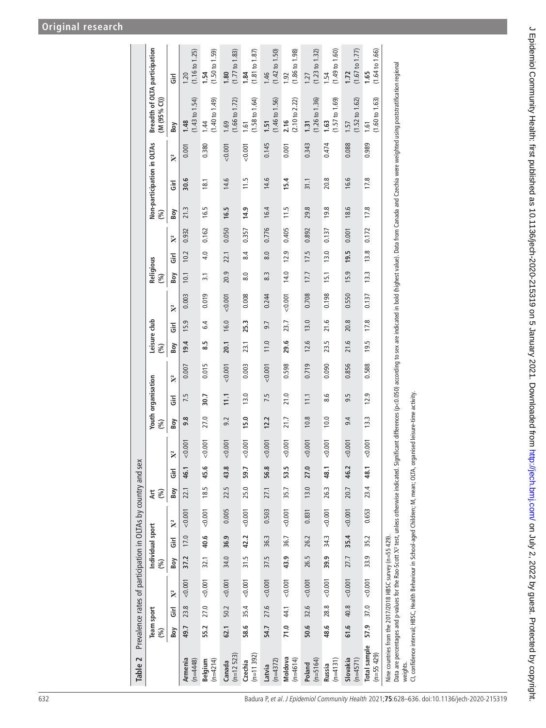# **Original research**

| Table 2                                                               |      |            | Prevalence rates of participation in OLTAs by country and sex |      |                  |                |            |      |                |      |                           |                |                     |      |                    |                  |                  |                    |      |                            |                |                                                                                                                                                                                                                                |                                   |
|-----------------------------------------------------------------------|------|------------|---------------------------------------------------------------|------|------------------|----------------|------------|------|----------------|------|---------------------------|----------------|---------------------|------|--------------------|------------------|------------------|--------------------|------|----------------------------|----------------|--------------------------------------------------------------------------------------------------------------------------------------------------------------------------------------------------------------------------------|-----------------------------------|
|                                                                       | (%)  | Team sport |                                                               | (%)  | Individual sport |                | Αrt<br>(%) |      |                | (%)  | <b>Youth organisation</b> |                | Leisure club<br>(%) |      |                    | Religious<br>(%) |                  |                    | (%)  | Non-participation in OLTAs |                | Breadth of OLTA participation<br>(M (95% CI))                                                                                                                                                                                  |                                   |
|                                                                       | Boy  | Ğ          | $\mathbb{X}^2$                                                | Boy  | Ğ                | $\mathbb{X}^2$ | Boy        | Ğ    | $\mathbf{X}^2$ | Boy  | Ξ                         | $\mathbf{X}^2$ | <b>Boy</b>          | Ğ    | $\mathbf{\hat{X}}$ | Boy              | にいい              | $\mathbf{\hat{X}}$ | Boy  | についている こうしゃ こうしゃ           | $\mathbf{X}^2$ | Boy                                                                                                                                                                                                                            | Ğ                                 |
| Armenia<br>$(n=4448)$                                                 | 49.7 | 23.8       | 0.001                                                         | 37.2 | 17.0             | < 0.001        | 22.1       | 46.1 | < 0.001        | 9.8  | 7.5                       | 0.007          | 19.4                | 15.9 | 0.003              | 10.1             | 10.2             | 0.932              | 21.3 | 30.6                       | 0.001          | $(1.43 \text{ to } 1.54)$<br>1.48                                                                                                                                                                                              | $(1.16 \text{ to } 1.25)$<br>1.20 |
| $(n=4214)$<br>Belgium                                                 | 55.2 | 27.0       | 0.001                                                         | 32.1 | 40.6             | < 0.001        | 18.5       | 45.6 | < 0.001        | 27.0 | 30.7                      | 0.015          | $\frac{5}{8}$       | 6.4  | 0.019              | $\overline{3}$ . | 4.0              | 0.162              | 16.5 | 18.1                       | 0.380          | (1.40 to 1.49)<br>1.44                                                                                                                                                                                                         | (1.50 to 1.59)<br>1.54            |
| $(n=12 523)$<br>Canada                                                | 62.1 | 50.2       | 0.001                                                         | 34.0 | 36.9             | 0.005          | 22.5       | 43.8 | < 0.001        | 9.2  | 11.1                      | 0.001          | 20.1                | 16.0 | 0.001              | 20.9             | 22.1             | 0.050              | 16.5 | 14.6                       | 0.001          | $(1.66 \text{ to } 1.72)$<br>1.69                                                                                                                                                                                              | (1.77 to 1.83)<br>1.80            |
| $(n=11392)$<br>Czechia                                                | 58.6 | 35.4       | 10000                                                         | 31.5 | 42.2             | < 0.001        | 25.0       | 59.7 | 0.001          | 15.0 | 13.0                      | 0.003          | 23.1                | 25.3 | 0.008              | $\overline{8.0}$ | 8.4              | 0.357              | 14.9 | 11.5                       | 0.001          | $(1.58 \text{ to } 1.64)$<br>1.61                                                                                                                                                                                              | (1.81 to 1.87)<br>1.84            |
| $(n=4372)$<br>Latvia                                                  | 54.7 |            | $27.6$ <0.001                                                 | 37.5 | 36.3             | 0.503          | 27.1       | 56.8 | 0.001          | 12.2 | 7.5                       | 0.001          | 11.0                | 9.7  | 0.244              | 8.3              | $\overline{8.0}$ | 0.776              | 16.4 | 14.6                       | 0.145          | $(1.46 \text{ to } 1.56)$<br>1.51                                                                                                                                                                                              | $(1.42 \text{ to } 1.50)$<br>1.46 |
| Moldova<br>$(n=4614)$                                                 | 71.0 | 44.1       | 0.001                                                         | 43.9 | 36.7             | 0.001          | 35.7       | 53.5 | 0.001          | 21.7 | 21.0                      | 0.598          | 29.6                | 23.7 | < 0.001            | 14.0             | 12.9             | 0.405              | 11.5 | 15.4                       | 0.001          | $(2.10 \text{ to } 2.22)$<br>2.16                                                                                                                                                                                              | $(1.86 \text{ to } 1.98)$<br>1.92 |
| $(n=5164)$<br>Poland                                                  | 50.6 | 32.6       | < 0.001                                                       | 26.5 | 26.2             | 0.831          | 13.0       | 27.0 | 0.001          | 10.8 | 11.1                      | 0.719          | 12.6                | 13.0 | 0.708              | 17.7             | 17.5             | 0.892              | 29.8 | 31.1                       | 0.343          | $(1.26 \text{ to } 1.36)$<br>1.31                                                                                                                                                                                              | (1.23 to 1.32)<br>1.27            |
| $(n=4131)$<br>Russia                                                  | 48.6 | 28.8       | < 0.001                                                       | 39.9 | 34.3             | < 0.001        | 26.3       | 48.1 | 0.001          | 10.0 | 8.6                       | 0.090          | 23.5                | 21.6 | 0.198              | 15.1             | 13.0             | 0.137              | 19.8 | 20.8                       | 0.474          | $(1.57 \text{ to } 1.69)$<br>1.63                                                                                                                                                                                              | (1.49 to 1.60)<br>1.54            |
| Slovakia<br>$(n=4571)$                                                | 61.6 | 40.8       | < 0.001                                                       | 27.7 | 35.4             | < 0.001        | 20.7       | 46.2 | < 0.001        | 9.4  | 9.5                       | 0.856          | 21.6                | 20.8 | 0.550              | 15.9             | 19.5             | 0.001              | 18.6 | 16.6                       | 0.088          | $(1.52 \text{ to } 1.62)$<br>1.57                                                                                                                                                                                              | (1.67 to 1.77)<br>1.72            |
| Total sample<br>$(n=55 429)$                                          | 57.9 | 37.0       | < 0.001                                                       | 33.9 | 35.2             | 0.653          | 23.4       | 48.1 | < 0.001        | 13.3 | 12.9                      | 0.588          | 19.5                | 17.8 | 0.137              | 13.3             | 13.8             | 0.172              | 17.8 | 17.8                       | 0.989          | $(1.60 \text{ to } 1.63)$<br>1.61                                                                                                                                                                                              | (1.64 to 1.66)<br>1.65            |
| Nine countries from the 2017/2018 HBSC survey (n=55 429).<br>weights. |      |            |                                                               |      |                  |                |            |      |                |      |                           |                |                     |      |                    |                  |                  |                    |      |                            |                | Data are percentages and p-values for the Rao-Scott X2 test, unless otherwise indicated. Significant differences (p<0.050) according to sex are indicated in bold (highest value). Data from Caechia were weighted using posts |                                   |

<span id="page-4-0"></span>CI, confidence interval; HBSC, Health Behaviour in School-aged Children; M, mean; OLTA, organised leisure-time activity.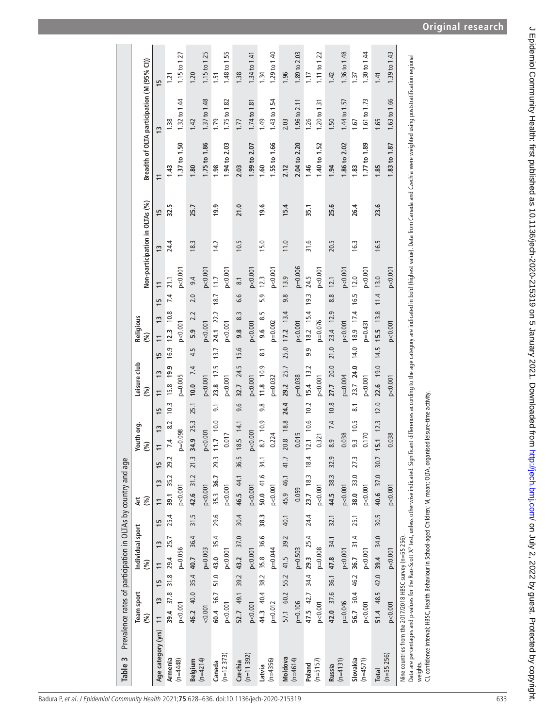| Table 3                                                                                                                                                                                                                                                                                    | Prevalence rates of participation in OLTAs by country and age |                                  |                  |      |                                  |      |                      |                    |                                 |                    |                                 |            |                     |                                |                |                |                                            |                 |
|--------------------------------------------------------------------------------------------------------------------------------------------------------------------------------------------------------------------------------------------------------------------------------------------|---------------------------------------------------------------|----------------------------------|------------------|------|----------------------------------|------|----------------------|--------------------|---------------------------------|--------------------|---------------------------------|------------|---------------------|--------------------------------|----------------|----------------|--------------------------------------------|-----------------|
|                                                                                                                                                                                                                                                                                            | Team sport                                                    |                                  | Individual sport |      | ξ                                |      | Youth org.           |                    | Leisure club                    |                    | Religious                       |            |                     |                                |                |                |                                            |                 |
|                                                                                                                                                                                                                                                                                            | (%)                                                           | (%)                              |                  |      | (%)                              |      | (%)                  |                    | (%)                             |                    | $(\%)$                          |            |                     | Non-participation in OLTAs (%) |                |                | Breadth of OLTA participation (M (95% CI)) |                 |
| Age category (yrs)                                                                                                                                                                                                                                                                         | $\frac{3}{2}$<br>$\overline{1}$                               | $\overline{1}$<br>$\frac{15}{2}$ | $\overline{1}$   | 15   | $\overline{1}$<br>$\overline{1}$ | 15   | 13<br>$\overline{1}$ | 15                 | $\frac{3}{2}$<br>$\overline{1}$ | 15                 | $\frac{3}{2}$<br>$\overline{1}$ | 15         | $\overline{1}$      | $\tilde{c}$                    | $\frac{15}{2}$ | $\overline{1}$ | $\frac{3}{2}$                              | $\frac{15}{2}$  |
| Armenia                                                                                                                                                                                                                                                                                    | 39.4 37.8 31.8 29.4 25.7                                      |                                  |                  | 25.4 | 39.1 35.2 29.2                   |      | 7.4                  | 10.3<br>8.2        | 15.8 19.9                       |                    | 16.9 12.3 10.8                  | 7.4        | 21.1                | 24.4                           | 32.5           | 1.43           | 1.38                                       | 1.21            |
| $(n=4448)$                                                                                                                                                                                                                                                                                 | p < 0.001                                                     | $p=0.056$                        |                  |      | pc 0.001                         |      | $p = 0.098$          |                    | $p=0.005$                       |                    | p < 0.001                       |            | p < 0.001           |                                |                | 1.37 to 1.50   | 1.32 to 1.44                               | 1.15 to 1.27    |
| Belgium                                                                                                                                                                                                                                                                                    | 46.2 40.0 35.4 40.7 36.4                                      |                                  |                  | 31.5 | 42.6 31.2 21.3                   |      | 34.9 25.3            | 25.1               | 10.0 7.4                        | 4.5                | 5.9 2.2                         | 2.0        | 9.4                 | 18.3                           | 25.7           | 1.80           | 1.42                                       | 1.20            |
| $(n=4214)$                                                                                                                                                                                                                                                                                 | < 0.001                                                       |                                  | $p = 0.003$      |      | p < 0.001                        |      | p < 0.001            |                    | p < 0.001                       |                    | p < 0.001                       |            | pc0.001             |                                |                | 1.75 to 1.86   | 1.37 to 1.48                               | 1.15 to 1.25    |
| Canada                                                                                                                                                                                                                                                                                     | 60.4 56.7 51.0 43.0 35.4                                      |                                  |                  | 29.6 | 35.3 36.7 29.3                   |      | $11.7$ 10.0          | $\overline{9}$ .   | 23.8 17.5                       | 13.7               | 24.1 22.2                       | 18.7       | 11.7                | 14.2                           | 19.9           | 1.98           | <b>P2</b>                                  | $\overline{51}$ |
| $(n=12373)$                                                                                                                                                                                                                                                                                | p < 0.001                                                     | p < 0.001                        |                  |      | p<0.001                          |      | 0.017                |                    | p < 0.001                       |                    | $pc - 0.001$                    |            | p < 0.001           |                                |                | 1.94 to 2.03   | 1.75 to 1.82                               | 1.48 to 1.55    |
| Czechia                                                                                                                                                                                                                                                                                    | 52.7 49.1 39.2 43.2 37.0                                      |                                  |                  | 30.4 | 46.5 44.1 36.5                   |      | 18.5 14.1            | 9.6                | 32.7 24.5                       | 15.6               | <u>ფ</u>                        | 6.6<br>8.3 | $\overline{\infty}$ | 10.5                           | 21.0           | 2.03           | 1.77                                       | 1.38            |
| $(n=11392)$                                                                                                                                                                                                                                                                                | p < 0.001                                                     | p < 0.001                        |                  |      | pc0.001                          |      | p < 0.001            |                    | p < 0.001                       |                    | p < 0.001                       |            | pc0.001             |                                |                | 1.99 to 2.07   | 1.74 to 1.81                               | 1.34 to 1.41    |
| Latvia                                                                                                                                                                                                                                                                                     | 44.3 40.4 38.2 35.8 36.6                                      |                                  |                  | 38.3 | 50.0 41.6                        | 34.1 | 8.7 10.9             | 9.8                | $11.8$ 10.9                     | $\overline{\circ}$ | 9.6                             | 5.9<br>8.5 | 12.3                | 15.0                           | 19.6           | 1.60           | 1.49                                       | $\overline{34}$ |
| $(n=4356)$                                                                                                                                                                                                                                                                                 | $p = 0.012$                                                   |                                  | $p=0.044$        |      | pc0.001                          |      | 0.224                |                    | $p=0.032$                       |                    | $p=0.002$                       |            | p < 0.001           |                                |                | 1.55 to 1.66   | 1.43 to 1.54                               | 1.29 to 1.40    |
| Moldova                                                                                                                                                                                                                                                                                    | 57.1 60.2                                                     | 41.5<br>55.2                     | 39.2             | 40.1 | 45.9 46.1 41.7                   |      | 20.8 18.8            | 24.4               | 29.2 25.7                       | 25.0               | $17.2$ 13.4                     | 9.8        | 13.9                | 11.0                           | 15.4           | 2.12           | 2.03                                       | 1.96            |
| $(n=4614)$                                                                                                                                                                                                                                                                                 | $p = 0.106$                                                   | $p = 0.503$                      |                  |      | 0.059                            |      | 0.015                |                    | $p = 0.038$                     |                    | $pc - 0.001$                    |            | $p=0.006$           |                                |                | 2.04 to 2.20   | 1.96 to 2.11                               | 1.89 to 2.03    |
| Poland                                                                                                                                                                                                                                                                                     | 47.5 42.7 34.4 29.3 25.4                                      |                                  |                  | 24.4 | 23.7 18.3 18.4                   |      | 12.1 10.6            | 10.2               | $15.4$ 13.2                     | 9.9                | 18.2 15.4                       | 19.3       | 24.5                | 31.6                           | 35.1           | 1.46           | 1.26                                       | 1.17            |
| $(n=5157)$                                                                                                                                                                                                                                                                                 | p < 0.001                                                     |                                  | $p = 0.008$      |      | pc 0.001                         |      | 0.321                |                    | p < 0.001                       |                    | $p=0.076$                       |            | $pc - 0.001$        |                                |                | 1.40 to 1.52   | 1.20 to 1.31                               | 1.11 to 1.22    |
| Russia                                                                                                                                                                                                                                                                                     | 42.0 37.6 36.1 47.8                                           |                                  | 34.1             | 32.1 | 44.5 38.3                        | 32.9 | 8.9                  | 10.8<br>7.4        | 27.7 20.0                       | 21.0               | 23.4 12.9                       | 8.8        | 12.1                | 20.5                           | 25.6           | 1.94           | $-50$                                      | 1.42            |
| $(n=4131)$                                                                                                                                                                                                                                                                                 | $p = 0.046$                                                   | p < 0.001                        |                  |      | pc 0.001                         |      | 0.038                |                    | $p = 0.004$                     |                    | pc 0.001                        |            | pc0.001             |                                |                | 1.86 to 2.02   | 1.44 to 1.57                               | 1.36 to 1.48    |
| Slovakia                                                                                                                                                                                                                                                                                   | 56.7 50.4 46.2 36.7 31.4                                      |                                  |                  | 25.1 | 38.0 33.0                        | 27.3 | 9.3 10.5             | $\overline{\circ}$ | 23.7 24.0                       |                    | 14.0 18.9 17.4                  | 16.5       | 12.0                | 16.3                           | 26.4           | <b>1.83</b>    | 1.67                                       | 137             |
| $(n=4571)$                                                                                                                                                                                                                                                                                 | p < 0.001                                                     | p < 0.001                        |                  |      | pc 0.001                         |      | 0.170                |                    | p < 0.001                       |                    | $p=0.431$                       |            | p < 0.001           |                                |                | 77 to 1.89     | 1.61 to 1.73                               | 1.30 to 1.44    |
| Total                                                                                                                                                                                                                                                                                      | 51.4 48.5 42.0 39.4 34.0                                      |                                  |                  | 30.5 | 40.6 37.0 30.7                   |      | 15.1 12.3            | 12.0               | 22.6 19.0                       | 14.5               | 15.5 13.8                       | 11.4       | 13.0                | 16.5                           | 23.6           | 1.85           | 1.65                                       | 1.41            |
| $(n=55 256)$                                                                                                                                                                                                                                                                               | p < 0.001                                                     | p < 0.001                        |                  |      | p < 0.001                        |      | 0.038                |                    | p < 0.001                       |                    | p < 0.001                       |            | p < 0.001           |                                |                | 1.83 to 1.87   | 1.63 to 1.66                               | 1.39 to 1.43    |
| Data are percentages and p-values for the Rao-Scott X? test, unless otherwise indicated. Significant differences according to the age category are indicated in bold (highest value). Data from Caenada and Czechia were weigh<br>Nine countries from the 2017/2018 HBSC survey (n=55 256) |                                                               |                                  |                  |      |                                  |      |                      |                    |                                 |                    |                                 |            |                     |                                |                |                |                                            |                 |

weights.<br>CI, confidence interval; HBSC, Health Behaviour in School-aged Children; M, mean; OLTA, organised leisure-time activity.

<span id="page-5-0"></span>CI, confidence interval; HBSC, Health Behaviour in School-aged Children; M, mean; OLTA, organised leisure-time activity.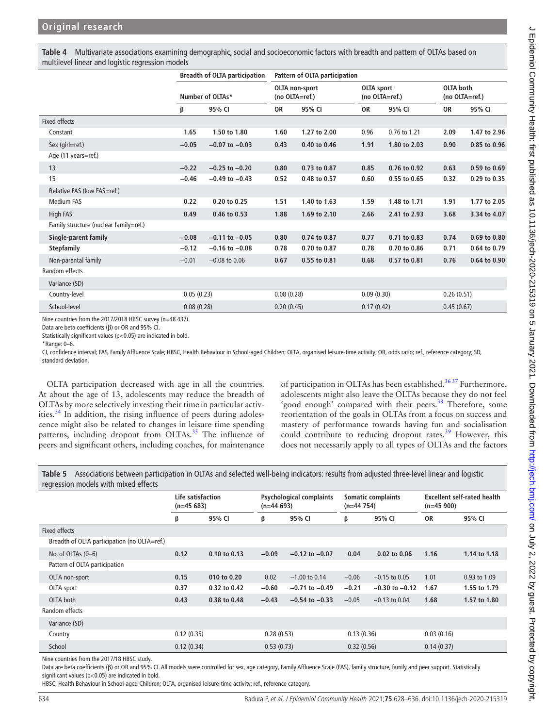<span id="page-6-0"></span>**Table 4** Multivariate associations examining demographic, social and socioeconomic factors with breadth and pattern of OLTAs based on multilevel linear and logistic regression models

|                                        |            | <b>Breadth of OLTA participation</b> |                | Pattern of OLTA participation |                                     |              |                                    |              |
|----------------------------------------|------------|--------------------------------------|----------------|-------------------------------|-------------------------------------|--------------|------------------------------------|--------------|
|                                        |            | Number of OLTAs*                     | (no OLTA=ref.) | OLTA non-sport                | <b>OLTA</b> sport<br>(no OLTA=ref.) |              | <b>OLTA</b> both<br>(no OLTA=ref.) |              |
|                                        | β          | 95% CI                               | 0R             | 95% CI                        | 0R                                  | 95% CI       | 0R                                 | 95% CI       |
| <b>Fixed effects</b>                   |            |                                      |                |                               |                                     |              |                                    |              |
| Constant                               | 1.65       | 1.50 to 1.80                         | 1.60           | 1.27 to 2.00                  | 0.96                                | 0.76 to 1.21 | 2.09                               | 1.47 to 2.96 |
| Sex (girl=ref.)                        | $-0.05$    | $-0.07$ to $-0.03$                   | 0.43           | 0.40 to 0.46                  | 1.91                                | 1.80 to 2.03 | 0.90                               | 0.85 to 0.96 |
| Age (11 years=ref.)                    |            |                                      |                |                               |                                     |              |                                    |              |
| 13                                     | $-0.22$    | $-0.25$ to $-0.20$                   | 0.80           | 0.73 to 0.87                  | 0.85                                | 0.76 to 0.92 | 0.63                               | 0.59 to 0.69 |
| 15                                     | $-0.46$    | $-0.49$ to $-0.43$                   | 0.52           | 0.48 to 0.57                  | 0.60                                | 0.55 to 0.65 | 0.32                               | 0.29 to 0.35 |
| Relative FAS (low FAS=ref.)            |            |                                      |                |                               |                                     |              |                                    |              |
| Medium FAS                             | 0.22       | 0.20 to 0.25                         | 1.51           | 1.40 to 1.63                  | 1.59                                | 1.48 to 1.71 | 1.91                               | 1.77 to 2.05 |
| High FAS                               | 0.49       | 0.46 to 0.53                         | 1.88           | 1.69 to 2.10                  | 2.66                                | 2.41 to 2.93 | 3.68                               | 3.34 to 4.07 |
| Family structure (nuclear family=ref.) |            |                                      |                |                               |                                     |              |                                    |              |
| Single-parent family                   | $-0.08$    | $-0.11$ to $-0.05$                   | 0.80           | 0.74 to 0.87                  | 0.77                                | 0.71 to 0.83 | 0.74                               | 0.69 to 0.80 |
| <b>Stepfamily</b>                      | $-0.12$    | $-0.16$ to $-0.08$                   | 0.78           | 0.70 to 0.87                  | 0.78                                | 0.70 to 0.86 | 0.71                               | 0.64 to 0.79 |
| Non-parental family                    | $-0.01$    | $-0.08$ to $0.06$                    | 0.67           | 0.55 to 0.81                  | 0.68                                | 0.57 to 0.81 | 0.76                               | 0.64 to 0.90 |
| Random effects                         |            |                                      |                |                               |                                     |              |                                    |              |
| Variance (SD)                          |            |                                      |                |                               |                                     |              |                                    |              |
| Country-level                          | 0.05(0.23) |                                      | 0.08(0.28)     |                               | 0.09(0.30)                          |              | 0.26(0.51)                         |              |
| School-level                           | 0.08(0.28) |                                      | 0.20(0.45)     |                               | 0.17(0.42)                          |              | 0.45(0.67)                         |              |

Nine countries from the 2017/2018 HBSC survey (n=48 437).

Data are beta coefficients (β) or OR and 95% CI.

Statistically significant values (p<0.05) are indicated in bold.

\*Range: 0–6.

CI, confidence interval; FAS, Family Affluence Scale; HBSC, Health Behaviour in School-aged Children; OLTA, organised leisure-time activity; OR, odds ratio; ref., reference category; SD, standard deviation.

OLTA participation decreased with age in all the countries. At about the age of 13, adolescents may reduce the breadth of OLTAs by more selectively investing their time in particular activities.[34](#page-8-27) In addition, the rising influence of peers during adolescence might also be related to changes in leisure time spending patterns, including dropout from OLTAs.<sup>[35](#page-8-28)</sup> The influence of peers and significant others, including coaches, for maintenance of participation in OLTAs has been established.<sup>36,37</sup> Furthermore, adolescents might also leave the OLTAs because they do not feel 'good enough' compared with their peers.<sup>38</sup> Therefore, some reorientation of the goals in OLTAs from a focus on success and mastery of performance towards having fun and socialisation could contribute to reducing dropout rates.<sup>[39](#page-8-31)</sup> However, this does not necessarily apply to all types of OLTAs and the factors

<span id="page-6-1"></span>**Table 5** Associations between participation in OLTAs and selected well-being indicators: results from adjusted three-level linear and logistic regression models with mixed effects

|                                              | Life satisfaction<br>$(n=45683)$ |              | $(n=44693)$ | <b>Psychological complaints</b> | $(n=44 754)$ | <b>Somatic complaints</b> | $(n=45900)$ | <b>Excellent self-rated health</b> |
|----------------------------------------------|----------------------------------|--------------|-------------|---------------------------------|--------------|---------------------------|-------------|------------------------------------|
|                                              | β                                | 95% CI       | β           | 95% CI                          | β            | 95% CI                    | <b>OR</b>   | 95% CI                             |
| <b>Fixed effects</b>                         |                                  |              |             |                                 |              |                           |             |                                    |
| Breadth of OLTA participation (no OLTA=ref.) |                                  |              |             |                                 |              |                           |             |                                    |
| No. of OLTAs $(0-6)$                         | 0.12                             | 0.10 to 0.13 | $-0.09$     | $-0.12$ to $-0.07$              | 0.04         | $0.02$ to $0.06$          | 1.16        | 1.14 to 1.18                       |
| Pattern of OLTA participation                |                                  |              |             |                                 |              |                           |             |                                    |
| OLTA non-sport                               | 0.15                             | 010 to 0.20  | 0.02        | $-1.00$ to 0.14                 | $-0.06$      | $-0.15$ to 0.05           | 1.01        | 0.93 to 1.09                       |
| OLTA sport                                   | 0.37                             | 0.32 to 0.42 | $-0.60$     | $-0.71$ to $-0.49$              | $-0.21$      | $-0.30$ to $-0.12$        | 1.67        | 1.55 to 1.79                       |
| OLTA both                                    | 0.43                             | 0.38 to 0.48 | $-0.43$     | $-0.54$ to $-0.33$              | $-0.05$      | $-0.13$ to 0.04           | 1.68        | 1.57 to 1.80                       |
| Random effects                               |                                  |              |             |                                 |              |                           |             |                                    |
| Variance (SD)                                |                                  |              |             |                                 |              |                           |             |                                    |
| Country                                      | 0.12(0.35)                       |              | 0.28(0.53)  |                                 | 0.13(0.36)   |                           | 0.03(0.16)  |                                    |
| School                                       | 0.12(0.34)                       |              | 0.53(0.73)  |                                 | 0.32(0.56)   |                           | 0.14(0.37)  |                                    |

Nine countries from the 2017/18 HBSC study.

Data are beta coefficients (β) or OR and 95% CI. All models were controlled for sex, age category, Family Affluence Scale (FAS), family structure, family and peer support. Statistically significant values (p<0.05) are indicated in bold.

HBSC, Health Behaviour in School-aged Children; OLTA, organised leisure-time activity; ref., reference category.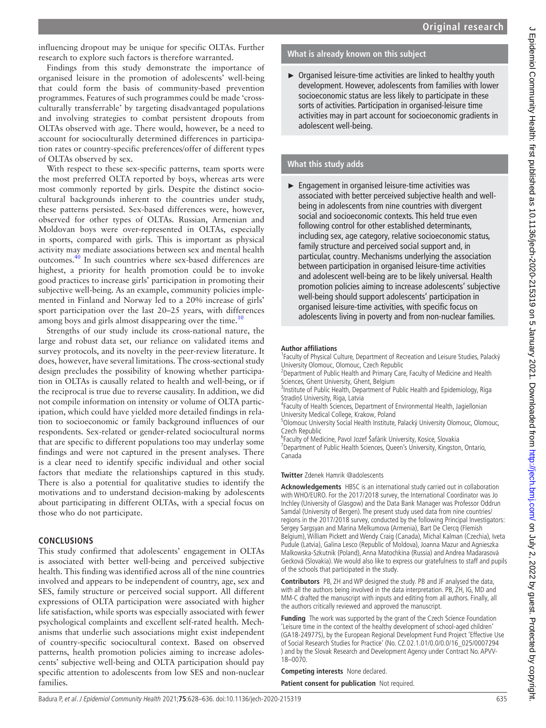influencing dropout may be unique for specific OLTAs. Further research to explore such factors is therefore warranted.

Findings from this study demonstrate the importance of organised leisure in the promotion of adolescents' well-being that could form the basis of community-based prevention programmes. Features of such programmes could be made 'crossculturally transferrable' by targeting disadvantaged populations and involving strategies to combat persistent dropouts from OLTAs observed with age. There would, however, be a need to account for socioculturally determined differences in participation rates or country-specific preferences/offer of different types of OLTAs observed by sex.

With respect to these sex-specific patterns, team sports were the most preferred OLTA reported by boys, whereas arts were most commonly reported by girls. Despite the distinct sociocultural backgrounds inherent to the countries under study, these patterns persisted. Sex-based differences were, however, observed for other types of OLTAs. Russian, Armenian and Moldovan boys were over-represented in OLTAs, especially in sports, compared with girls. This is important as physical activity may mediate associations between sex and mental health outcomes.[40](#page-8-32) In such countries where sex-based differences are highest, a priority for health promotion could be to invoke good practices to increase girls' participation in promoting their subjective well-being. As an example, community policies implemented in Finland and Norway led to a 20% increase of girls' sport participation over the last 20–25 years, with differences among boys and girls almost disappearing over the time.<sup>[10](#page-8-33)</sup>

Strengths of our study include its cross-national nature, the large and robust data set, our reliance on validated items and survey protocols, and its novelty in the peer-review literature. It does, however, have several limitations. The cross-sectional study design precludes the possibility of knowing whether participation in OLTAs is causally related to health and well-being, or if the reciprocal is true due to reverse causality. In addition, we did not compile information on intensity or volume of OLTA participation, which could have yielded more detailed findings in relation to socioeconomic or family background influences of our respondents. Sex-related or gender-related sociocultural norms that are specific to different populations too may underlay some findings and were not captured in the present analyses. There is a clear need to identify specific individual and other social factors that mediate the relationships captured in this study. There is also a potential for qualitative studies to identify the motivations and to understand decision-making by adolescents about participating in different OLTAs, with a special focus on those who do not participate.

# **CONCLUSIONS**

This study confirmed that adolescents' engagement in OLTAs is associated with better well-being and perceived subjective health. This finding was identified across all of the nine countries involved and appears to be independent of country, age, sex and SES, family structure or perceived social support. All different expressions of OLTA participation were associated with higher life satisfaction, while sports was especially associated with fewer psychological complaints and excellent self-rated health. Mechanisms that underlie such associations might exist independent of country-specific sociocultural context. Based on observed patterns, health promotion policies aiming to increase adolescents' subjective well-being and OLTA participation should pay specific attention to adolescents from low SES and non-nuclear families.

## **What is already known on this subject**

► Organised leisure-time activities are linked to healthy youth development. However, adolescents from families with lower socioeconomic status are less likely to participate in these sorts of activities. Participation in organised-leisure time activities may in part account for socioeconomic gradients in adolescent well-being.

# **What this study adds**

► Engagement in organised leisure-time activities was associated with better perceived subjective health and wellbeing in adolescents from nine countries with divergent social and socioeconomic contexts. This held true even following control for other established determinants, including sex, age category, relative socioeconomic status, family structure and perceived social support and, in particular, country. Mechanisms underlying the association between participation in organised leisure-time activities and adolescent well-being are to be likely universal. Health promotion policies aiming to increase adolescents' subjective well-being should support adolescents' participation in organised leisure-time activities, with specific focus on adolescents living in poverty and from non-nuclear families.

#### **Author affiliations**

<sup>1</sup> Faculty of Physical Culture, Department of Recreation and Leisure Studies, Palacký University Olomouc, Olomouc, Czech Republic

<sup>2</sup> Department of Public Health and Primary Care, Faculty of Medicine and Health Sciences, Ghent University, Ghent, Belgium

<sup>3</sup>Institute of Public Health, Department of Public Health and Epidemiology, Riga Stradiņš University, Riga, Latvia

4 Faculty of Health Sciences, Department of Environmental Health, Jagiellonian University Medical College, Krakow, Poland

<sup>5</sup>Olomouc University Social Health Institute, Palacký University Olomouc, Olomouc, Czech Republic

6 Faculty of Medicine, Pavol Jozef Šafárik University, Kosice, Slovakia

<sup>7</sup>Department of Public Health Sciences, Queen's University, Kingston, Ontario, Canada

#### **Twitter** Zdenek Hamrik [@adolescents](https://twitter.com/adolescents)

**Acknowledgements** HBSC is an international study carried out in collaboration with WHO/EURO. For the 2017/2018 survey, the International Coordinator was Jo Inchley (University of Glasgow) and the Data Bank Manager was Professor Oddrun Samdal (University of Bergen). The present study used data from nine countries/ regions in the 2017/2018 survey, conducted by the following Principal Investigators: Sergey Sargsyan and Marina Melkumova (Armenia), Bart De Clercq (Flemish Belgium), William Pickett and Wendy Craig (Canada), Michal Kalman (Czechia), Iveta Pudule (Latvia), Galina Lesco (Republic of Moldova), Joanna Mazur and Agnieszka Malkowska-Szkutnik (Poland), Anna Matochkina (Russia) and Andrea Madarasová Gecková (Slovakia). We would also like to express our gratefulness to staff and pupils of the schools that participated in the study.

**Contributors** PB, ZH and WP designed the study. PB and JF analysed the data, with all the authors being involved in the data interpretation. PB, ZH, IG, MD and MM-C drafted the manuscript with inputs and editing from all authors. Finally, all the authors critically reviewed and approved the manuscript.

**Funding** The work was supported by the grant of the Czech Science Foundation 'Leisure time in the context of the healthy development of school-aged children' (GA18-24977S), by the European Regional Development Fund Project 'Effective Use of Social Research Studies for Practice' (No. CZ.02.1.01/0.0/0.0/16\_025/0007294 ) and by the Slovak Research and Development Agency under Contract No. APVV-18–0070.

#### **Competing interests** None declared.

**Patient consent for publication** Not required.